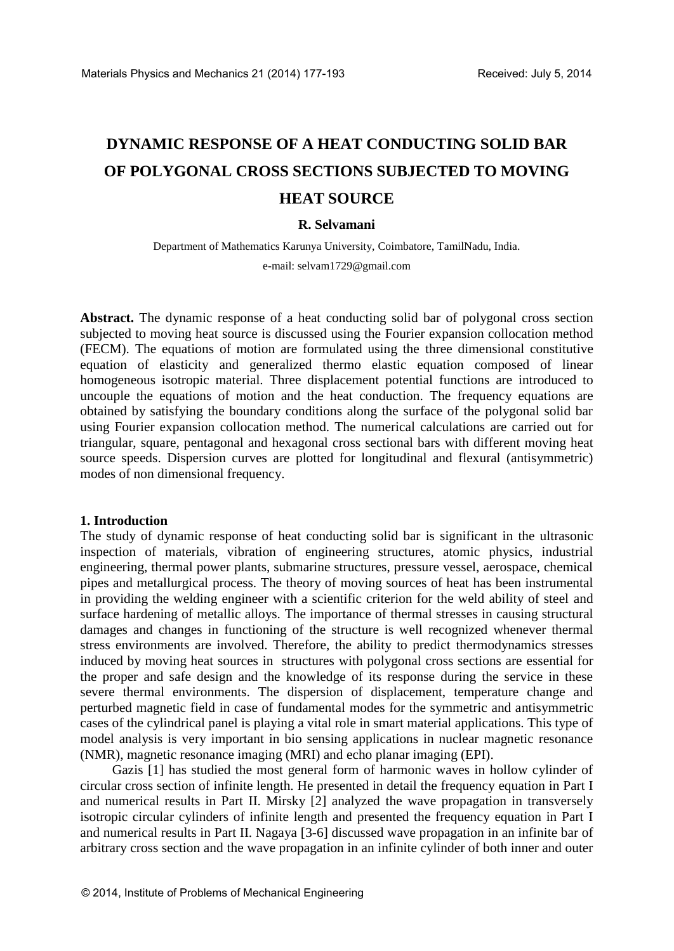# **DYNAMIC RESPONSE OF A HEAT CONDUCTING SOLID BAR OF POLYGONAL CROSS SECTIONS SUBJECTED TO MOVING HEAT SOURCE**

## **R. Selvamani**

Department of Mathematics Karunya University, Coimbatore, TamilNadu, India. e-mail: [selvam1729@gmail.com](mailto:selvam1729@gmail.com)

**Abstract.** The dynamic response of a heat conducting solid bar of polygonal cross section subjected to moving heat source is discussed using the Fourier expansion collocation method (FECM). The equations of motion are formulated using the three dimensional constitutive equation of elasticity and generalized thermo elastic equation composed of linear homogeneous isotropic material. Three displacement potential functions are introduced to uncouple the equations of motion and the heat conduction. The frequency equations are obtained by satisfying the boundary conditions along the surface of the polygonal solid bar using Fourier expansion collocation method. The numerical calculations are carried out for triangular, square, pentagonal and hexagonal cross sectional bars with different moving heat source speeds. Dispersion curves are plotted for longitudinal and flexural (antisymmetric) modes of non dimensional frequency.

## **1. Introduction**

The study of dynamic response of heat conducting solid bar is significant in the ultrasonic inspection of materials, vibration of engineering structures, atomic physics, industrial engineering, thermal power plants, submarine structures, pressure vessel, aerospace, chemical pipes and metallurgical process. The theory of moving sources of heat has been instrumental in providing the welding engineer with a scientific criterion for the weld ability of steel and surface hardening of metallic alloys. The importance of thermal stresses in causing structural damages and changes in functioning of the structure is well recognized whenever thermal stress environments are involved. Therefore, the ability to predict thermodynamics stresses induced by moving heat sources in structures with polygonal cross sections are essential for the proper and safe design and the knowledge of its response during the service in these severe thermal environments. The dispersion of displacement, temperature change and perturbed magnetic field in case of fundamental modes for the symmetric and antisymmetric cases of the cylindrical panel is playing a vital role in smart material applications. This type of model analysis is very important in bio sensing applications in nuclear magnetic resonance (NMR), magnetic resonance imaging (MRI) and echo planar imaging (EPI).

Gazis [1] has studied the most general form of harmonic waves in hollow cylinder of circular cross section of infinite length. He presented in detail the frequency equation in Part I and numerical results in Part II. Mirsky [2] analyzed the wave propagation in transversely isotropic circular cylinders of infinite length and presented the frequency equation in Part I and numerical results in Part II. Nagaya [3-6] discussed wave propagation in an infinite bar of arbitrary cross section and the wave propagation in an infinite cylinder of both inner and outer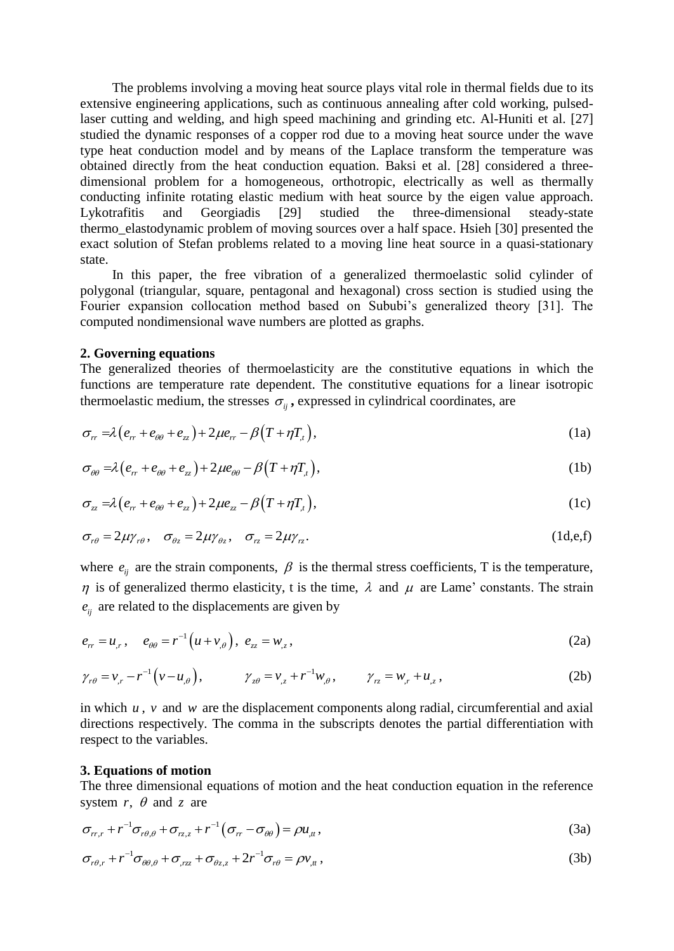The problems involving a moving heat source plays vital role in thermal fields due to its extensive engineering applications, such as continuous annealing after cold working, pulsedlaser cutting and welding, and high speed machining and grinding etc. Al-Huniti et al. [27] studied the dynamic responses of a copper rod due to a moving heat source under the wave type heat conduction model and by means of the Laplace transform the temperature was obtained directly from the heat conduction equation. Baksi et al. [28] considered a threedimensional problem for a homogeneous, orthotropic, electrically as well as thermally conducting infinite rotating elastic medium with heat source by the eigen value approach. Lykotrafitis and Georgiadis [29] studied the three-dimensional steady-state thermo\_elastodynamic problem of moving sources over a half space. Hsieh [30] presented the exact solution of Stefan problems related to a moving line heat source in a quasi-stationary state.

In this paper, the free vibration of a generalized thermoelastic solid cylinder of polygonal (triangular, square, pentagonal and hexagonal) cross section is studied using the Fourier expansion collocation method based on Sububi's generalized theory [31]. The computed nondimensional wave numbers are plotted as graphs.

## **2. Governing equations**

The generalized theories of thermoelasticity are the constitutive equations in which the functions are temperature rate dependent. The constitutive equations for a linear isotropic thermoelastic medium, the stresses  $\sigma_{ij}$ , expressed in cylindrical coordinates, are  $\sigma_{rr} = \lambda (e_{rr} + e_{\theta\theta} + e_{zz}) + 2\mu e_{rr} - \beta (T + \eta T_{,t}),$ 

$$
\sigma_r = \lambda \left( e_{rr} + e_{\theta\theta} + e_z \right) + 2\mu e_r - \beta \left( T + \eta T_t \right), \tag{1a}
$$

$$
\sigma_{rr} = \lambda (e_{rr} + e_{\theta\theta} + e_{zz}) + 2\mu e_{rr} - \beta (T + \eta T_{t}),
$$
\n
$$
\sigma_{\theta\theta} = \lambda (e_{rr} + e_{\theta\theta} + e_{zz}) + 2\mu e_{\theta\theta} - \beta (T + \eta T_{t}),
$$
\n
$$
\sigma_{zz} = \lambda (e_{rr} + e_{\theta\theta} + e_{zz}) + 2\mu e_{zz} - \beta (T + \eta T_{t}),
$$
\n(1c)

$$
\sigma_{\theta\theta} = \lambda (e_{rr} + e_{\theta\theta} + e_{zz}) + 2\mu e_{\theta\theta} - \beta (T + \eta T_{,t}),
$$
\n
$$
\sigma_{zz} = \lambda (e_{rr} + e_{\theta\theta} + e_{zz}) + 2\mu e_{zz} - \beta (T + \eta T_{,t}),
$$
\n(1c)

$$
\sigma_{r\theta} = 2\mu\gamma_{r\theta}, \quad \sigma_{\theta z} = 2\mu\gamma_{\theta z}, \quad \sigma_{r\overline{z}} = 2\mu\gamma_{r\overline{z}}.
$$
 (1d,e,f)

where  $e_{ij}$  are the strain components,  $\beta$  is the thermal stress coefficients, T is the temperature,  $\eta$  is of generalized thermo elasticity, t is the time,  $\lambda$  and  $\mu$  are Lame' constants. The strain  $e_{ij}$  are related to the displacements are given by

$$
e_{rr} = u_{,r}, \quad e_{\theta\theta} = r^{-1}(u + v_{,\theta}), \ e_{zz} = w_{,z},
$$
 (2a)

$$
\gamma_{r\theta} = v_{,r} - r^{-1} (v - u_{,\theta}),
$$
\n $\gamma_{z\theta} = v_{,z} + r^{-1} w_{,\theta},$ \n $\gamma_{rz} = w_{,r} + u_{,z},$ \n(2b)

in which  $u$ ,  $v$  and  $w$  are the displacement components along radial, circumferential and axial directions respectively. The comma in the subscripts denotes the partial differentiation with respect to the variables.

#### **3. Equations of motion**

The three dimensional equations of motion and the heat conduction equation in the reference system *r*,  $\theta$  and *z* are<br>  $\sigma_{rr,r} + r^{-1} \sigma_{r\theta,\theta} + \sigma_{rz,z} + r^{-1} (\sigma_{rr} - \sigma_{\theta\theta}) = \rho u_{,tt}$ ,

system r, 
$$
\theta
$$
 and z are  
\n
$$
\sigma_{rr,r} + r^{-1} \sigma_{r\theta,\theta} + \sigma_{rz,z} + r^{-1} (\sigma_{rr} - \sigma_{\theta\theta}) = \rho u_{,tt},
$$
\n(3a)

$$
\sigma_{rr,r} + r \quad \sigma_{r\theta,\theta} + \sigma_{rz,z} + r \quad (\sigma_{rr} - \sigma_{\theta\theta}) = \rho u_{,tt},
$$
  
\n
$$
\sigma_{r\theta,r} + r^{-1} \sigma_{\theta\theta,\theta} + \sigma_{,rz} + \sigma_{\theta z,z} + 2r^{-1} \sigma_{r\theta} = \rho v_{,tt},
$$
\n(3b)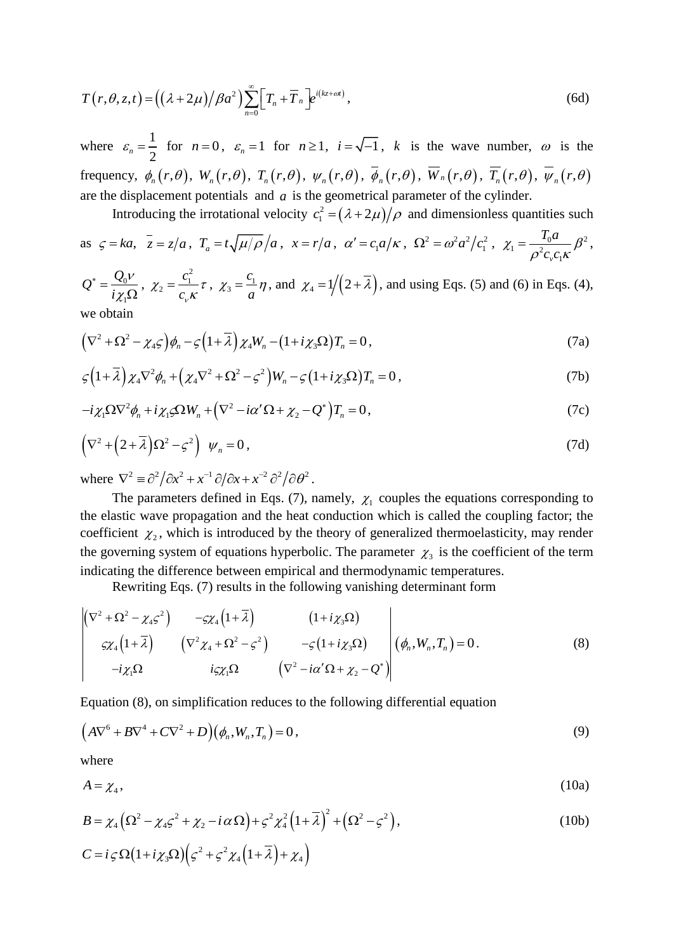$$
T(r,\theta,z,t) = ((\lambda + 2\mu)/\beta a^2) \sum_{n=0}^{\infty} \left[ T_n + \overline{T}_n \right] e^{i(kz + \omega t)},
$$
\n(6d)

where  $\varepsilon_n = \frac{1}{2}$  $\varepsilon_n = \frac{1}{2}$  for  $n = 0$ ,  $\varepsilon_n = 1$  for  $n \ge 1$ ,  $i = \sqrt{-1}$ , k is the wave number,  $\omega$  is the  $\delta$  frequency,  $\phi_n(r,\theta)$ ,  $W_n(r,\theta)$ ,  $T_n(r,\theta)$ ,  $\psi_n(r,\theta)$ ,  $\phi_n(r,\theta)$ ,  $W_n(r,\theta)$ ,  $T_n(r,\theta)$ ,  $\psi_n(r,\theta)$ are the displacement potentials and  $a$  is the geometrical parameter of the cylinder.

Introducing the irrotational velocity  $c_1^2 = (\lambda + 2\mu)/\rho$  and dimensionless quantities such

as 
$$
\zeta = ka
$$
,  $\bar{z} = z/a$ ,  $T_a = t \sqrt{\mu/\rho}/a$ ,  $x = r/a$ ,  $\alpha' = c_1 a/\kappa$ ,  $\Omega^2 = \omega^2 a^2/c_1^2$ ,  $\chi_1 = \frac{T_0 a}{\rho^2 c_v c_1 \kappa} \beta^2$ ,

 $\overline{0}$ 1  $Q^* = \frac{Q}{Q}$ *i*  $\mathcal V$ χ  $\overline{\ }$  =  $\Omega$ , 2  $i_2 = \frac{c_1}{a_2}$ *c*  $\chi_2 = \frac{c_1}{c_v \kappa} \tau$ ,  $\chi_3 = \frac{c_1}{a}$ *c a*  $Q^* = \frac{Q_0 V}{i \chi_1 \Omega}$ ,  $\chi_2 = \frac{c_1^2}{c_v \kappa} \tau$ ,  $\chi_3 = \frac{c_1}{a} \eta$ , and  $\chi_4 = 1/(2 + \overline{\lambda})$ , and using Eqs. (5) and (6) in Eqs. (4),<br>we obtain<br> $(\nabla^2 + \Omega^2 - \chi_4 \varsigma) \phi_n - \varsigma (1 + \overline{\lambda}) \chi_4 W_n - (1 + i \chi_3 \Omega) T_n = 0$ , (7a) we obtain

$$
(\nabla^2 + \Omega^2 - \chi_4 \varsigma) \phi_n - \varsigma \left(1 + \overline{\lambda}\right) \chi_4 W_n - \left(1 + i \chi_3 \Omega\right) T_n = 0, \tag{7a}
$$

we obtain  
\n
$$
(\nabla^2 + \Omega^2 - \chi_4 \varsigma) \phi_n - \varsigma \left(1 + \overline{\lambda}\right) \chi_4 W_n - \left(1 + i \chi_3 \Omega\right) T_n = 0,
$$
\n
$$
\varsigma \left(1 + \overline{\lambda}\right) \chi_4 \nabla^2 \phi_n + \left(\chi_4 \nabla^2 + \Omega^2 - \varsigma^2\right) W_n - \varsigma \left(1 + i \chi_3 \Omega\right) T_n = 0,
$$
\n(7b)

$$
\zeta(1+\lambda)\chi_4 V^2 \phi_n + (\chi_4 V^2 + \Omega^2 - \zeta^2) W_n - \zeta (1+i\chi_3 \Omega) T_n = 0,
$$
\n
$$
-i\chi_1 \Omega \nabla^2 \phi_n + i\chi_1 \varsigma \Omega W_n + (\nabla^2 - i\alpha' \Omega + \chi_2 - Q^*) T_n = 0,
$$
\n(7c)

$$
-\iota_{\chi_1} \xi_2 \mathbf{v} \varphi_n + \iota_{\chi_1 \varsigma_2} \xi_1 \mathbf{w}_n + (\mathbf{v} - i\alpha \xi_2 + \chi_2 - \mathbf{v}) \mathbf{1}_n = 0,
$$
\n
$$
(\mathbf{V}^2 + (2 + \overline{\lambda})\Omega^2 - \varsigma^2) \psi_n = 0,
$$
\n(7d)

where  $\nabla^2 = \frac{\partial^2}{\partial x^2} + x^{-1} \frac{\partial}{\partial x} + x^{-2} \frac{\partial^2}{\partial \theta^2}$ .

The parameters defined in Eqs. (7), namely,  $\chi_1$  couples the equations corresponding to the elastic wave propagation and the heat conduction which is called the coupling factor; the coefficient  $\chi_2$ , which is introduced by the theory of generalized thermoelasticity, may render the governing system of equations hyperbolic. The parameter  $\chi_3$  is the coefficient of the term indicating the difference between empirical and thermodynamic temperatures.

indicating the difference between empirical and thermodynamic temperatures.  
\nRewriting Eqs. (7) results in the following vanishing determinant form  
\n
$$
\begin{vmatrix}\n(\nabla^2 + \Omega^2 - \chi_4 \varsigma^2) & -\varsigma \chi_4 (1 + \overline{\lambda}) & (1 + i \chi_3 \Omega) \\
\varsigma \chi_4 (1 + \overline{\lambda}) & (\nabla^2 \chi_4 + \Omega^2 - \varsigma^2) & -\varsigma (1 + i \chi_3 \Omega) \\
-i \chi_1 \Omega & i \varsigma \chi_1 \Omega & (\nabla^2 - i \alpha' \Omega + \chi_2 - Q^*)\n\end{vmatrix} (\phi_n, W_n, T_n) = 0.
$$
\n(8)

Equation (8), on simplification reduces to the following differential equation  
\n
$$
(A\nabla^6 + B\nabla^4 + C\nabla^2 + D)(\phi_n, W_n, T_n) = 0,
$$
\n(9)

where

$$
A = \chi_4,\tag{10a}
$$

where  
\n
$$
A = \chi_4,
$$
\n
$$
B = \chi_4 \left( \Omega^2 - \chi_4 \zeta^2 + \chi_2 - i \alpha \Omega \right) + \zeta^2 \chi_4^2 \left( 1 + \overline{\lambda} \right)^2 + \left( \Omega^2 - \zeta^2 \right),
$$
\n
$$
C = i \zeta \Omega \left( 1 + i \chi_3 \Omega \right) \left( \zeta^2 + \zeta^2 \chi_4 \left( 1 + \overline{\lambda} \right) + \chi_4 \right)
$$
\n(10b)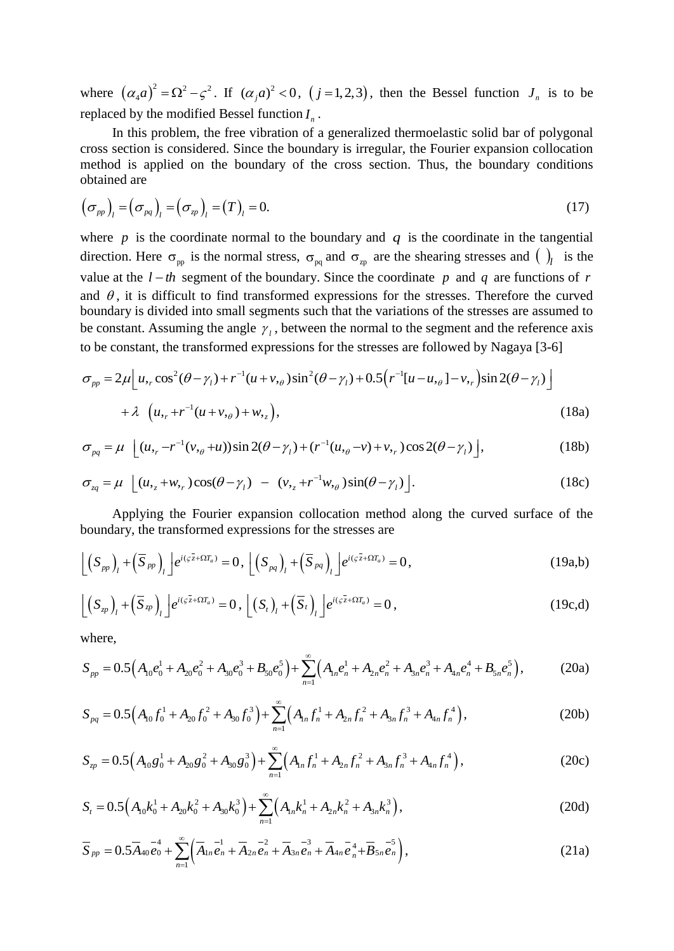where  $(\alpha_4 a)^2 = \Omega^2 - \zeta^2$ . If  $(\alpha_j a)^2 < 0$ ,  $(j=1,2,3)$ , then the Bessel function  $J_n$  is to be replaced by the modified Bessel function  $I_n$ .

In this problem, the free vibration of a generalized thermoelastic solid bar of polygonal cross section is considered. Since the boundary is irregular, the Fourier expansion collocation method is applied on the boundary of the cross section. Thus, the boundary conditions obtained are

obtained are  
\n
$$
\left(\sigma_{pp}\right)_l = \left(\sigma_{pq}\right)_l = \left(\sigma_{zp}\right)_l = \left(T\right)_l = 0.
$$
\n(17)

where  $p$  is the coordinate normal to the boundary and  $q$  is the coordinate in the tangential direction. Here  $\sigma_{pp}$  is the normal stress,  $\sigma_{pq}$  and  $\sigma_{zp}$  are the shearing stresses and  $\left(\right)_l$  is the value at the  $l - th$  segment of the boundary. Since the coordinate p and q are functions of r and  $\theta$ , it is difficult to find transformed expressions for the stresses. Therefore the curved boundary is divided into small segments such that the variations of the stresses are assumed to be constant. Assuming the angle  $\gamma_l$ , between the normal to the segment and the reference axis<br>to be constant, the transformed expressions for the stresses are followed by Nagaya [3-6]<br> $\sigma_{pp} = 2\mu \left[ u_r \cos^2(\theta - \gamma_l) + r^{-1}(u + v$ to be constant, the transformed expressions for the stresses are followed by Nagaya [3-6]

$$
\sigma_{pp} = 2\mu \left[ u_{,r} \cos^2(\theta - \gamma_l) + r^{-1} (u + v_{,\theta}) \sin^2(\theta - \gamma_l) + 0.5 (r^{-1} [u - u_{,\theta}] - v_{,r}) \sin 2(\theta - \gamma_l) \right] + \lambda \left( u_{,r} + r^{-1} (u + v_{,\theta}) + w_{,z} \right),
$$
(18a)

$$
+ \lambda \left( u_{r} + r^{-1} (u + v_{r\theta}) + w_{r} \right),
$$
\n
$$
\sigma_{pq} = \mu \left[ (u_{r} - r^{-1} (v_{r\theta} + u)) \sin 2(\theta - \gamma_{1}) + (r^{-1} (u_{r\theta} - v) + v_{r} \right) \cos 2(\theta - \gamma_{1}) \right],
$$
\n
$$
\sigma_{rq} = \mu \left[ (u_{r} + w_{r} \right) \cos(\theta - \gamma_{1}) - (v_{r} + r^{-1} w_{r\theta}) \sin(\theta - \gamma_{1}) \right].
$$
\n(18c)

$$
\sigma_{pq} = \mu \left[ (u_{r} - r^{-1}(v_{r\theta} + u)) \sin 2(\theta - \gamma_l) + (r^{-1}(u_{r\theta} - v) + v_{r\theta}) \cos 2(\theta - \gamma_l) \right],
$$
\n(18b)  
\n
$$
\sigma_{sq} = \mu \left[ (u_{rz} + w_{rz}) \cos(\theta - \gamma_l) - (v_{rz} + r^{-1}w_{r\theta}) \sin(\theta - \gamma_l) \right].
$$
\n(18c)

Applying the Fourier expansion collocation method along the curved surface of the

boundary, the transformed expressions for the stresses are  
\n
$$
\left[ \left( S_{pp} \right)_l + \left( \overline{S}_{pp} \right)_l \right] e^{i(\varsigma \overline{z} + \Omega T_a)} = 0, \left[ \left( S_{pq} \right)_l + \left( \overline{S}_{pq} \right)_l \right] e^{i(\varsigma \overline{z} + \Omega T_a)} = 0,
$$
\n(19a,b)

$$
\left[ \left( S_{\varphi} \right)_{l} + \left( \overline{S}_{\varphi} \right)_{l} \right] e^{i \left( \varsigma \overline{z} + \Omega T_{a} \right)} = 0, \left[ \left( S_{t} \right)_{l} + \left( \overline{S}_{t} \right)_{l} \right] e^{i \left( \varsigma \overline{z} + \Omega T_{a} \right)} = 0, \tag{19c,d}
$$

where,

$$
\left[ \left( S_{\varphi} \right)_{l} + \left( \overline{S}_{\varphi} \right)_{l} \right] e^{i(\varsigma \overline{z} + \Omega T_{a})} = 0, \quad \left[ \left( S_{t} \right)_{l} + \left( \overline{S}_{t} \right)_{l} \right] e^{i(\varsigma \overline{z} + \Omega T_{a})} = 0, \quad (19c, d)
$$
\nwhere,  
\n
$$
S_{pp} = 0.5 \left( A_{10} e_{0}^{1} + A_{20} e_{0}^{2} + A_{30} e_{0}^{3} + B_{50} e_{0}^{5} \right) + \sum_{n=1}^{\infty} \left( A_{1n} e_{n}^{1} + A_{2n} e_{n}^{2} + A_{3n} e_{n}^{3} + A_{4n} e_{n}^{4} + B_{5n} e_{n}^{5} \right), \quad (20a)
$$
\n
$$
S_{pq} = 0.5 \left( A_{10} f_{0}^{1} + A_{20} f_{0}^{2} + A_{30} f_{0}^{3} \right) + \sum_{n=1}^{\infty} \left( A_{1n} f_{n}^{1} + A_{2n} f_{n}^{2} + A_{3n} f_{n}^{3} + A_{4n} f_{n}^{4} \right), \quad (20b)
$$

$$
S_{pp} = 0.5\left(A_{10}e_{0}^{1} + A_{20}e_{0}^{2} + A_{30}e_{0}^{3} + B_{50}e_{0}^{3}\right) + \sum_{n=1}^{8}\left(A_{1n}e_{n}^{1} + A_{2n}e_{n}^{2} + A_{3n}e_{n}^{3} + A_{4n}e_{n}^{3} + B_{5n}e_{n}^{3}\right),
$$
\n(20a)  
\n
$$
S_{pq} = 0.5\left(A_{10}f_{0}^{1} + A_{20}f_{0}^{2} + A_{30}f_{0}^{3}\right) + \sum_{n=1}^{8}\left(A_{1n}f_{n}^{1} + A_{2n}f_{n}^{2} + A_{3n}f_{n}^{3} + A_{4n}f_{n}^{4}\right),
$$
\n(20b)  
\n
$$
S_{zp} = 0.5\left(A_{10}g_{0}^{1} + A_{20}g_{0}^{2} + A_{30}g_{0}^{3}\right) + \sum_{n=1}^{8}\left(A_{1n}f_{n}^{1} + A_{2n}f_{n}^{2} + A_{3n}f_{n}^{3} + A_{4n}f_{n}^{4}\right),
$$
\n(20c)

$$
S_{pq} = 0.5(A_{10}f_0^+ + A_{20}f_0^- + A_{30}f_0^+) + \sum_{n=1}^{\infty} (A_{1n}f_n^+ + A_{2n}f_n^+ + A_{3n}f_n^+) ,
$$
\n(20b)  
\n
$$
S_{zp} = 0.5(A_{10}g_0^1 + A_{20}g_0^2 + A_{30}g_0^3) + \sum_{n=1}^{\infty} (A_{1n}f_n^1 + A_{2n}f_n^2 + A_{3n}f_n^3 + A_{4n}f_n^4) ,
$$
\n(20c)  
\n
$$
S_t = 0.5(A_{10}k_0^1 + A_{20}k_0^2 + A_{30}k_0^3) + \sum_{n=1}^{\infty} (A_{1n}k_n^1 + A_{2n}k_n^2 + A_{3n}k_n^3) ,
$$
\n(20d)

$$
S_t = 0.5\left(A_{10}k_0^1 + A_{20}k_0^2 + A_{30}k_0^3\right) + \sum_{n=1}^{\infty} \left(A_{1n}k_n^1 + A_{2n}k_n^2 + A_{3n}k_n^3\right),
$$
\n(20d)

$$
\overline{S}_{pp} = 0.5\overline{A}_{40}e_0 + \sum_{n=1}^{\infty} \left( \overline{A}_{1n}e_n + \overline{A}_{2n}e_n + \overline{A}_{3n}e_n + \overline{A}_{4n}e_n^4 + \overline{B}_{5n}e_n^2 \right),
$$
\n(20a)  
\n
$$
\overline{S}_{pp} = 0.5\overline{A}_{40}e_0 + \sum_{n=1}^{\infty} \left( \overline{A}_{1n}e_n + \overline{A}_{2n}e_n + \overline{A}_{3n}e_n + \overline{A}_{4n}e_n^4 + \overline{B}_{5n}e_n^2 \right),
$$
\n(21a)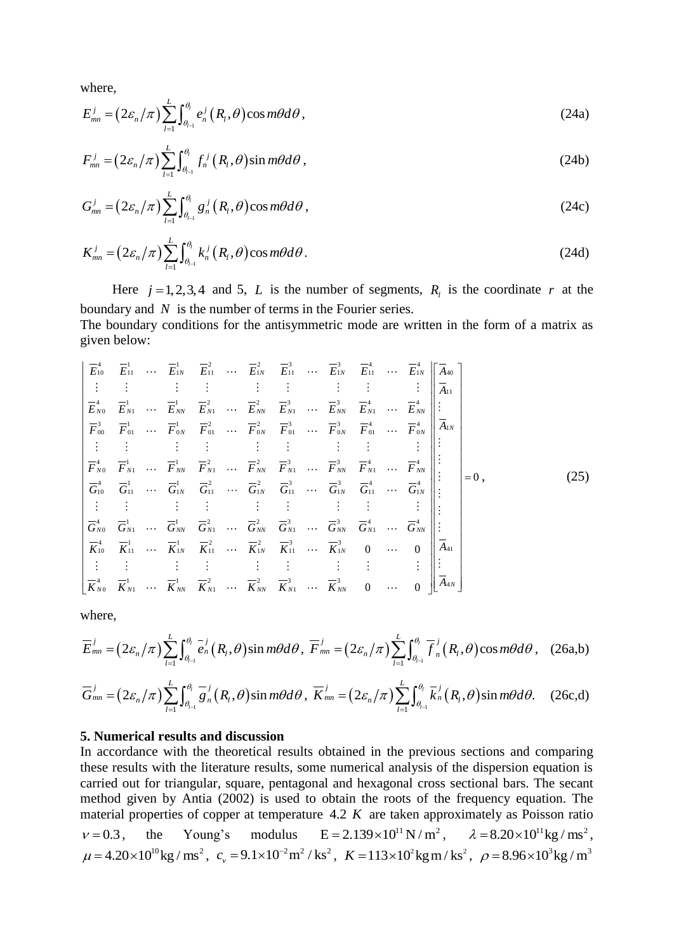where,

where,  
\n
$$
E_{mn}^{j} = (2\varepsilon_n/\pi) \sum_{l=1}^{L} \int_{\theta_{l-1}}^{\theta_{l}} e_n^{j} (R_l, \theta) \cos m\theta d\theta,
$$
\n(24a)

$$
F_{mn}^{j} = \left(2\varepsilon_n/\pi\right) \sum_{l=1}^{L} \int_{\theta_{l-1}}^{\theta_{l}} f_n^{j}\left(R_l, \theta\right) \sin m\theta d\theta, \qquad (24b)
$$

$$
G_{mn}^j = \left(2\varepsilon_n/\pi\right) \sum_{l=1}^L \int_{\theta_{l-1}}^{\theta_l} g_n^j\left(R_l, \theta\right) \cos m\theta d\theta,
$$
\n(24c)

$$
K_{mn}^{j} = \left(2\varepsilon_n/\pi\right) \sum_{l=1}^{L} \int_{\theta_{l-1}}^{\theta_{l}} k_n^{j} \left(R_l, \theta\right) \cos m\theta d\theta. \tag{24d}
$$

Here  $j = 1, 2, 3, 4$  and 5, L is the number of segments,  $R_i$  is the coordinate r at the boundary and  $N$  is the number of terms in the Fourier series.

The boundary conditions for the antisymmetric mode are written in the form of a matrix as<br>given below:<br> $\begin{bmatrix} \overline{E}_{10}^4 & \overline{E}_{11}^1 & \cdots & \overline{E}_{1N}^1 & \overline{E}_{11}^2 & \cdots & \overline{E}_{1N}^2 & \overline{E}_{11}^3 & \cdots & \overline{E}_{1N}^1 & \overline{E}_{11}^4 & \cdots$ given below:

given below:  
\ngiven below:  
\n
$$
\begin{bmatrix}\n\overline{E}_{10}^{4} & \overline{E}_{11}^{1} & \cdots & \overline{E}_{1N}^{1} & \overline{E}_{11}^{2} & \cdots & \overline{E}_{1N}^{2} & \overline{E}_{11}^{3} & \cdots & \overline{E}_{1N}^{3} & \overline{E}_{11}^{4} & \cdots & \overline{E}_{1N}^{4} \\
\vdots & \vdots & \vdots & \vdots & \vdots & \vdots & \vdots & \vdots & \vdots & \vdots \\
\overline{E}_{N0}^{4} & \overline{E}_{N1}^{1} & \cdots & \overline{E}_{NN}^{1} & \overline{E}_{N1}^{2} & \cdots & \overline{E}_{NN}^{2} & \overline{E}_{N1}^{3} & \cdots & \overline{E}_{NN}^{3} & \overline{E}_{N1}^{4} & \cdots & \overline{E}_{NN}^{4} \\
\overline{F}_{00}^{3} & \overline{F}_{01}^{1} & \cdots & \overline{F}_{0N}^{1} & \overline{F}_{01}^{2} & \cdots & \overline{F}_{0N}^{2} & \overline{F}_{01}^{3} & \cdots & \overline{F}_{0N}^{3} & \overline{F}_{01}^{4} & \cdots & \overline{F}_{0N}^{4} \\
\vdots & \vdots & \vdots & \vdots & \vdots & \vdots & \vdots & \vdots & \vdots \\
\overline{F}_{N0}^{4} & \overline{F}_{N1}^{1} & \cdots & \overline{F}_{NN}^{1} & \overline{F}_{N1}^{2} & \cdots & \overline{F}_{NN}^{2} & \overline{F}_{N1}^{3} & \cdots & \overline{F}_{NN}^{3} & \overline{F}_{N1}^{4} & \cdots & \overline{F}_{NN}^{4} \\
\vdots & \vdots & \vdots & \vdots & \vdots & \vdots & \vdots & \vdots & \vdots \\
\overline{G}_{10}^{4} & \overline{G}_{11}^{1} & \cdots & \overline{G}_{1N}^{1} & \overline{G}_{11}^{2} & \cdots & \overline{G}_{NN}^{2} & \overline{G}_{N1}^{3} & \cdots & \overline{G}_{NN}^{3} & \overline{
$$

where,

where,  
\n
$$
\overline{E}_{mn}^j = (2\varepsilon_n/\pi) \sum_{l=1}^L \int_{\theta_{l-1}}^{\theta_l} \overline{e}_n^j (R_l, \theta) \sin m\theta d\theta, \ \overline{F}_{mn}^j = (2\varepsilon_n/\pi) \sum_{l=1}^L \int_{\theta_{l-1}}^{\theta_l} \overline{f}_n^j (R_l, \theta) \cos m\theta d\theta, \ (26a,b)
$$

$$
\overline{G}_{mn}^{j} = (2\varepsilon_n/\pi) \sum_{l=1}^{L} \int_{\theta_{l-1}}^{\theta_{l}} \overline{g}_n^{j} (R_l, \theta) \sin m\theta d\theta, \ \overline{K}_{mn}^{j} = (2\varepsilon_n/\pi) \sum_{l=1}^{L} \int_{\theta_{l-1}}^{\theta_{l}} \overline{k}_n^{j} (R_l, \theta) \sin m\theta d\theta. \tag{26c,d}
$$

# **5. Numerical results and discussion**

In accordance with the theoretical results obtained in the previous sections and comparing these results with the literature results, some numerical analysis of the dispersion equation is carried out for triangular, square, pentagonal and hexagonal cross sectional bars. The secant method given by Antia (2002) is used to obtain the roots of the frequency equation. The material properties of copper at temperature 4.2 *K* are taken approximately as Poisson ratio  $v = 0.3$ , the Young's modulus  $E = 2.139 \times 10^{11} N/m^2$ ,  $\lambda = 8.20 \times 10^{11} kg/m s^2$ ,  $\mu = 4.20 \times 10^{10} \text{kg/m}^3$ ,  $c_v = 9.1 \times 10^{-2} \text{m}^2/\text{ks}^2$ ,  $K = 113 \times 10^2 \text{kg/m/s}^3$ ,  $\rho = 8.96 \times 10^3 \text{kg/m}^3$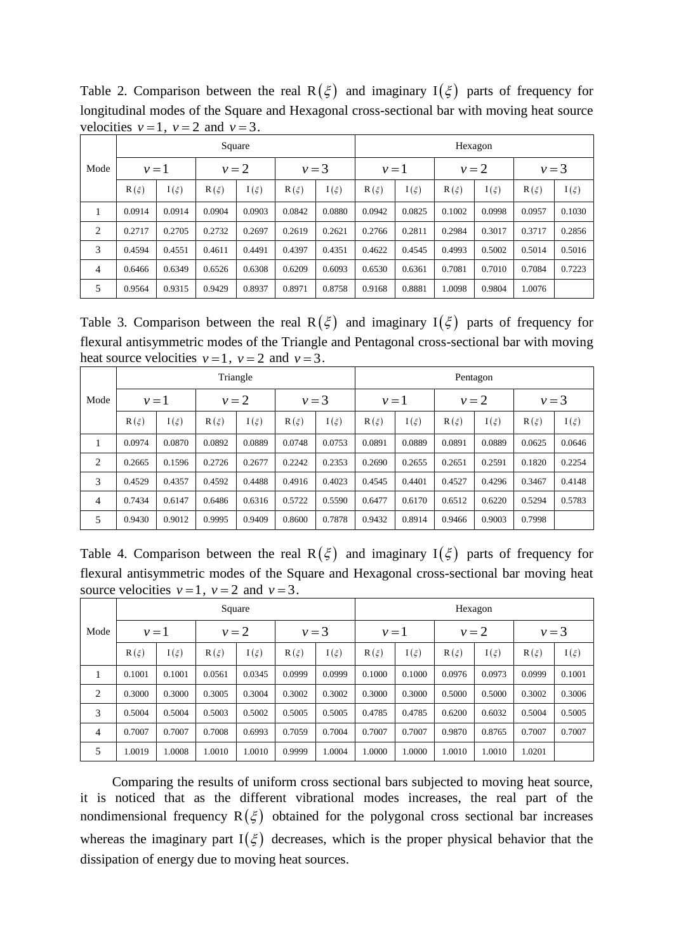|                | Square    |          |          |          |          |          |          | Hexagon  |          |          |          |          |  |  |
|----------------|-----------|----------|----------|----------|----------|----------|----------|----------|----------|----------|----------|----------|--|--|
| Mode           | $\nu = 1$ |          | $v=2$    |          | $v=3$    |          | $v=1$    |          | $v=2$    |          | $v = 3$  |          |  |  |
|                | $R(\xi)$  | $I(\xi)$ | $R(\xi)$ | $I(\xi)$ | $R(\xi)$ | $I(\xi)$ | $R(\xi)$ | $I(\xi)$ | $R(\xi)$ | $I(\xi)$ | $R(\xi)$ | $I(\xi)$ |  |  |
|                | 0.0914    | 0.0914   | 0.0904   | 0.0903   | 0.0842   | 0.0880   | 0.0942   | 0.0825   | 0.1002   | 0.0998   | 0.0957   | 0.1030   |  |  |
| 2              | 0.2717    | 0.2705   | 0.2732   | 0.2697   | 0.2619   | 0.2621   | 0.2766   | 0.2811   | 0.2984   | 0.3017   | 0.3717   | 0.2856   |  |  |
| 3              | 0.4594    | 0.4551   | 0.4611   | 0.4491   | 0.4397   | 0.4351   | 0.4622   | 0.4545   | 0.4993   | 0.5002   | 0.5014   | 0.5016   |  |  |
| $\overline{4}$ | 0.6466    | 0.6349   | 0.6526   | 0.6308   | 0.6209   | 0.6093   | 0.6530   | 0.6361   | 0.7081   | 0.7010   | 0.7084   | 0.7223   |  |  |
| 5              | 0.9564    | 0.9315   | 0.9429   | 0.8937   | 0.8971   | 0.8758   | 0.9168   | 0.8881   | 1.0098   | 0.9804   | 1.0076   |          |  |  |

Table 2. Comparison between the real  $R(\xi)$  and imaginary  $I(\xi)$  parts of frequency for longitudinal modes of the Square and Hexagonal cross-sectional bar with moving heat source velocities  $v=1$ ,  $v=2$  and  $v=3$ .

Table 3. Comparison between the real  $R(\xi)$  and imaginary  $I(\xi)$  parts of frequency for flexural antisymmetric modes of the Triangle and Pentagonal cross-sectional bar with moving heat source velocities  $v = 1$ ,  $v = 2$  and  $v = 3$ .

|                | Triangle  |          |          |          |          |          |          | Pentagon |          |          |          |          |  |  |
|----------------|-----------|----------|----------|----------|----------|----------|----------|----------|----------|----------|----------|----------|--|--|
| Mode           | $\nu = 1$ |          | $v=2$    |          | $v = 3$  |          | $v=1$    |          | $v=2$    |          | $v = 3$  |          |  |  |
|                | $R(\xi)$  | $I(\xi)$ | $R(\xi)$ | $I(\xi)$ | $R(\xi)$ | $I(\xi)$ | $R(\xi)$ | $I(\xi)$ | $R(\xi)$ | $I(\xi)$ | $R(\xi)$ | $I(\xi)$ |  |  |
| л.             | 0.0974    | 0.0870   | 0.0892   | 0.0889   | 0.0748   | 0.0753   | 0.0891   | 0.0889   | 0.0891   | 0.0889   | 0.0625   | 0.0646   |  |  |
| 2              | 0.2665    | 0.1596   | 0.2726   | 0.2677   | 0.2242   | 0.2353   | 0.2690   | 0.2655   | 0.2651   | 0.2591   | 0.1820   | 0.2254   |  |  |
| 3              | 0.4529    | 0.4357   | 0.4592   | 0.4488   | 0.4916   | 0.4023   | 0.4545   | 0.4401   | 0.4527   | 0.4296   | 0.3467   | 0.4148   |  |  |
| $\overline{4}$ | 0.7434    | 0.6147   | 0.6486   | 0.6316   | 0.5722   | 0.5590   | 0.6477   | 0.6170   | 0.6512   | 0.6220   | 0.5294   | 0.5783   |  |  |
| 5              | 0.9430    | 0.9012   | 0.9995   | 0.9409   | 0.8600   | 0.7878   | 0.9432   | 0.8914   | 0.9466   | 0.9003   | 0.7998   |          |  |  |

Table 4. Comparison between the real  $R(\xi)$  and imaginary  $I(\xi)$  parts of frequency for flexural antisymmetric modes of the Square and Hexagonal cross-sectional bar moving heat source velocities  $v = 1$ ,  $v = 2$  and  $v = 3$ .

|      | Square    |          |          |          |          |          |          | Hexagon  |          |          |          |          |  |  |
|------|-----------|----------|----------|----------|----------|----------|----------|----------|----------|----------|----------|----------|--|--|
| Mode | $\nu = 1$ |          | $v=2$    |          | $v=3$    |          | $v=1$    |          | $v=2$    |          | $v=3$    |          |  |  |
|      | $R(\xi)$  | $I(\xi)$ | $R(\xi)$ | $I(\xi)$ | $R(\xi)$ | $I(\xi)$ | $R(\xi)$ | $I(\xi)$ | $R(\xi)$ | $I(\xi)$ | $R(\xi)$ | $I(\xi)$ |  |  |
| 1    | 0.1001    | 0.1001   | 0.0561   | 0.0345   | 0.0999   | 0.0999   | 0.1000   | 0.1000   | 0.0976   | 0.0973   | 0.0999   | 0.1001   |  |  |
| 2    | 0.3000    | 0.3000   | 0.3005   | 0.3004   | 0.3002   | 0.3002   | 0.3000   | 0.3000   | 0.5000   | 0.5000   | 0.3002   | 0.3006   |  |  |
| 3    | 0.5004    | 0.5004   | 0.5003   | 0.5002   | 0.5005   | 0.5005   | 0.4785   | 0.4785   | 0.6200   | 0.6032   | 0.5004   | 0.5005   |  |  |
| 4    | 0.7007    | 0.7007   | 0.7008   | 0.6993   | 0.7059   | 0.7004   | 0.7007   | 0.7007   | 0.9870   | 0.8765   | 0.7007   | 0.7007   |  |  |
| 5    | .0019     | 1.0008   | 1.0010   | 1.0010   | 0.9999   | 1.0004   | 1.0000   | 1.0000   | 1.0010   | 1.0010   | 1.0201   |          |  |  |

Comparing the results of uniform cross sectional bars subjected to moving heat source, it is noticed that as the different vibrational modes increases, the real part of the nondimensional frequency  $R(\xi)$  obtained for the polygonal cross sectional bar increases whereas the imaginary part  $I(\xi)$  decreases, which is the proper physical behavior that the dissipation of energy due to moving heat sources.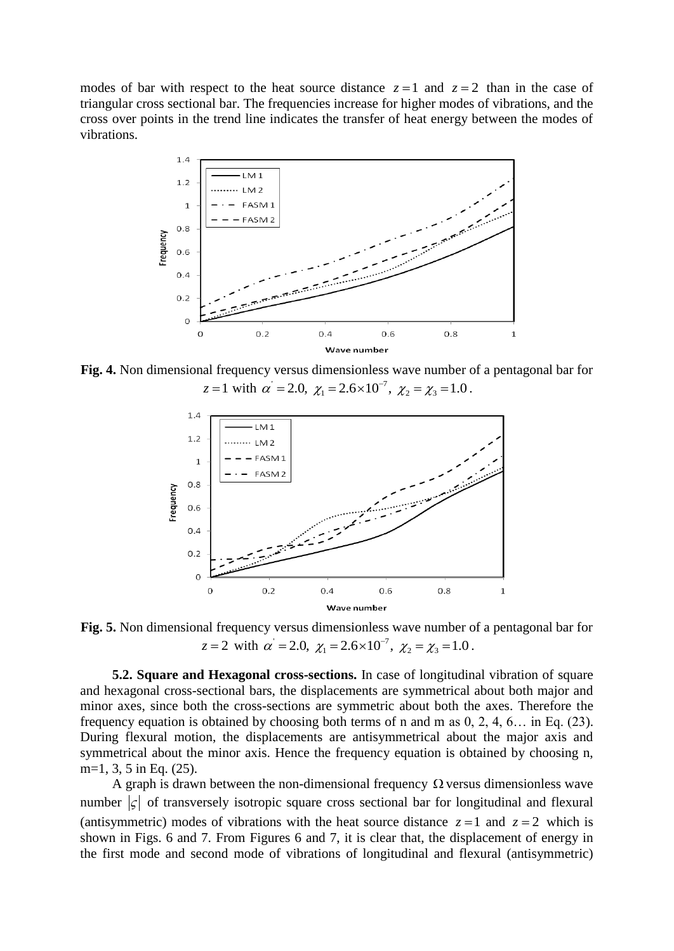modes of bar with respect to the heat source distance  $z = 1$  and  $z = 2$  than in the case of triangular cross sectional bar. The frequencies increase for higher modes of vibrations, and the cross over points in the trend line indicates the transfer of heat energy between the modes of vibrations.



**Fig. 4.** Non dimensional frequency versus dimensionless wave number of a pentagonal bar for al frequency versus dimensionless wave number<br>  $z = 1$  with  $\alpha' = 2.0$ ,  $\chi_1 = 2.6 \times 10^{-7}$ ,  $\chi_2 = \chi_3 = 1.0$ F versus dimensionless wave number o<br>= 2.0,  $\chi_1 = 2.6 \times 10^{-7}$ ,  $\chi_2 = \chi_3 = 1.0$ .



**Fig. 5.** Non dimensional frequency versus dimensionless wave number of a pentagonal bar for al frequency versus dimensionless wave number<br>  $z = 2$  with  $\alpha' = 2.0$ ,  $\chi_1 = 2.6 \times 10^{-7}$ ,  $\chi_2 = \chi_3 = 1.0$ F versus dimensionless wave number of<br>= 2.0,  $\chi_1 = 2.6 \times 10^{-7}$ ,  $\chi_2 = \chi_3 = 1.0$ .

**5.2. Square and Hexagonal cross-sections.** In case of longitudinal vibration of square and hexagonal cross-sectional bars, the displacements are symmetrical about both major and minor axes, since both the cross-sections are symmetric about both the axes. Therefore the frequency equation is obtained by choosing both terms of n and m as 0, 2, 4, 6… in Eq. (23). During flexural motion, the displacements are antisymmetrical about the major axis and symmetrical about the minor axis. Hence the frequency equation is obtained by choosing n, m=1, 3, 5 in Eq. (25).

A graph is drawn between the non-dimensional frequency  $\Omega$  versus dimensionless wave number  $|\zeta|$  of transversely isotropic square cross sectional bar for longitudinal and flexural (antisymmetric) modes of vibrations with the heat source distance  $z = 1$  and  $z = 2$  which is shown in Figs. 6 and 7. From Figures 6 and 7, it is clear that, the displacement of energy in the first mode and second mode of vibrations of longitudinal and flexural (antisymmetric)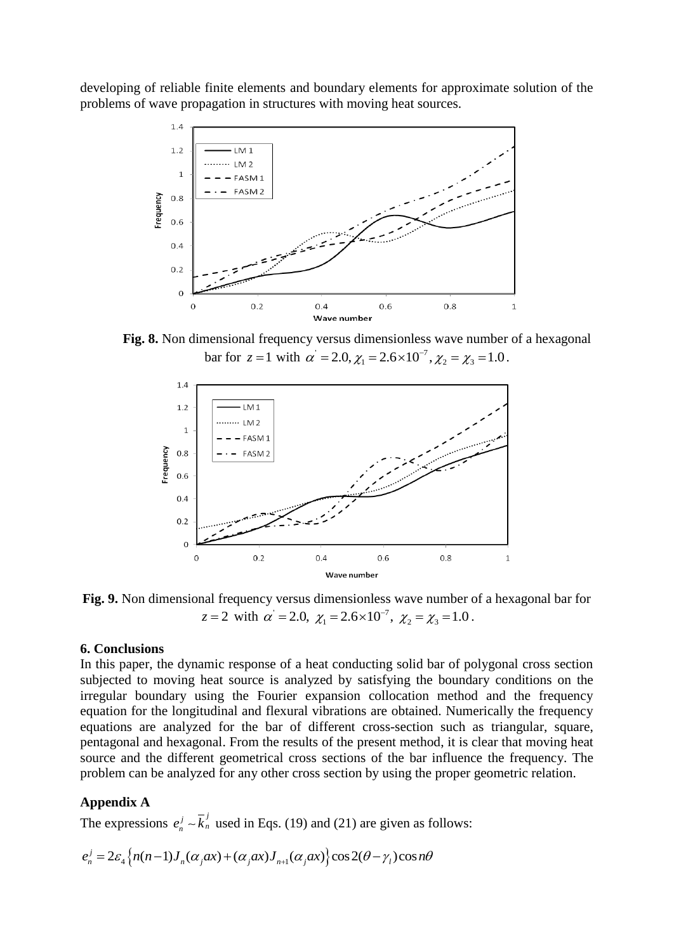developing of reliable finite elements and boundary elements for approximate solution of the problems of wave propagation in structures with moving heat sources.



**Fig. 8.** Non dimensional frequency versus dimensionless wave number of a hexagonal nensional frequency versus dimensionless wave numbe<br>bar for  $z = 1$  with  $\alpha' = 2.0$ ,  $\chi_1 = 2.6 \times 10^{-7}$ ,  $\chi_2 = \chi_3 = 1.0$ F versus dimensionless wave number  $\epsilon = 2.0, \chi_1 = 2.6 \times 10^{-7}, \chi_2 = \chi_3 = 1.0$ .



**Fig. 9.** Non dimensional frequency versus dimensionless wave number of a hexagonal bar for al frequency versus dimensionless wave number<br>  $z = 2$  with  $\alpha' = 2.0$ ,  $\chi_1 = 2.6 \times 10^{-7}$ ,  $\chi_2 = \chi_3 = 1.0$ F versus dimensionless wave number o<br>= 2.0,  $\chi_1 = 2.6 \times 10^{-7}$ ,  $\chi_2 = \chi_3 = 1.0$ .

# **6. Conclusions**

In this paper, the dynamic response of a heat conducting solid bar of polygonal cross section subjected to moving heat source is analyzed by satisfying the boundary conditions on the irregular boundary using the Fourier expansion collocation method and the frequency equation for the longitudinal and flexural vibrations are obtained. Numerically the frequency equations are analyzed for the bar of different cross-section such as triangular, square, pentagonal and hexagonal. From the results of the present method, it is clear that moving heat source and the different geometrical cross sections of the bar influence the frequency. The problem can be analyzed for any other cross section by using the proper geometric relation.

# **Appendix A**

The expressions 
$$
e_n^j \sim \overline{k}_n^j
$$
 used in Eqs. (19) and (21) are given as follows:  
\n
$$
e_n^j = 2\varepsilon_4 \Big\{ n(n-1)J_n(\alpha_j \alpha x) + (\alpha_j \alpha x)J_{n+1}(\alpha_j \alpha x) \Big\} \cos 2(\theta - \gamma_i) \cos n\theta
$$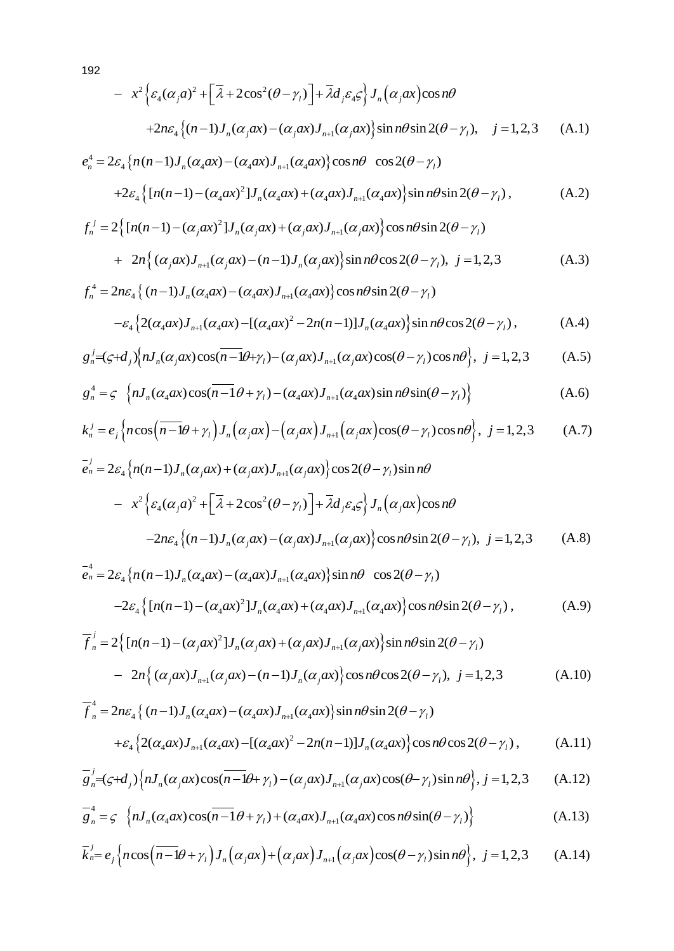192  
\n
$$
- x^{2} \Big\{ \varepsilon_{4} (\alpha_{j} a)^{2} + \Big[ \overline{\lambda} + 2 \cos^{2} (\theta - \gamma_{l}) \Big] + \overline{\lambda} d_{j} \varepsilon_{4} \varsigma \Big\} J_{n} \Big( \alpha_{j} a x \Big) \cos n\theta
$$
\n
$$
+ 2 n \varepsilon_{4} \Big\{ (n-1) J_{n} (\alpha_{j} a x) - (\alpha_{j} a x) J_{n+1} (\alpha_{j} a x) \Big\} \sin n\theta \sin 2(\theta - \gamma_{l}), \quad j = 1, 2, 3 \quad (A.1)
$$
\n
$$
e_{n}^{4} = 2 \varepsilon_{4} \Big\{ n (n-1) J_{n} (\alpha_{4} a x) - (\alpha_{4} a x) J_{n+1} (\alpha_{4} a x) \Big\} \cos n\theta \cos 2(\theta - \gamma_{l})
$$

$$
e_n^4 = 2\varepsilon_4 \{ n(n-1)J_n(\alpha_4 a x) - (\alpha_4 a x)J_{n+1}(\alpha_4 a x) \} \cos n\theta \cos 2(\theta - \gamma_1) + 2\varepsilon_4 \{ [n(n-1) - (\alpha_4 a x)^2]J_n(\alpha_4 a x) + (\alpha_4 a x)J_{n+1}(\alpha_4 a x) \} \sin n\theta \sin 2(\theta - \gamma_1),
$$
(A.2)

$$
+2\varepsilon_4 \Big\{ \left[ n(n-1) - (\alpha_4 \alpha x)^2 \right] J_n(\alpha_4 \alpha x) + (\alpha_4 \alpha x) J_{n+1}(\alpha_4 \alpha x) \Big\} \sin n\theta \sin 2(\theta - \gamma_1), \tag{A.2}
$$
  

$$
f_n^j = 2 \Big\{ \left[ n(n-1) - (\alpha_j \alpha x)^2 \right] J_n(\alpha_j \alpha x) + (\alpha_j \alpha x) J_{n+1}(\alpha_j \alpha x) \Big\} \cos n\theta \sin 2(\theta - \gamma_1)
$$

$$
+ 2n \Big\{ (\alpha_j \alpha x) J_{n+1}(\alpha_j \alpha x) - (n-1) J_n(\alpha_j \alpha x) \Big\} \sin n\theta \cos 2(\theta - \gamma_1), \ j = 1, 2, 3 \tag{A.3}
$$

+ 
$$
2n\{( \alpha_j \alpha x)J_{n+1}(\alpha_j \alpha x) - (n-1)J_n(\alpha_j \alpha x) \} \sin n\theta \cos 2(\theta - \gamma_i), j = 1, 2, 3
$$
 (A.3)  

$$
f_n^4 = 2n\varepsilon_4 \{ (n-1)J_n(\alpha_4 \alpha x) - (\alpha_4 \alpha x)J_{n+1}(\alpha_4 \alpha x) \} \cos n\theta \sin 2(\theta - \gamma_i)
$$

$$
- \varepsilon_4 \{ 2(\alpha_4 \alpha x)J_{n+1}(\alpha_4 \alpha x) - [(\alpha_4 \alpha x)^2 - 2n(n-1)]J_n(\alpha_4 \alpha x) \} \sin n\theta \cos 2(\theta - \gamma_i),
$$
 (A.4)

$$
-\varepsilon_{4}\left\{2(\alpha_{4}ax)J_{n+1}(\alpha_{4}ax)-[(\alpha_{4}ax)^{2}-2n(n-1)]J_{n}(\alpha_{4}ax)\right\}\sin n\theta\cos 2(\theta-\gamma_{1}),
$$
\n(A.4)\n
$$
g_{n}^{j}=(\zeta+d_{j})\left\{nJ_{n}(\alpha_{j}ax)\cos(\overline{n-1}\theta+\gamma_{1})-(\alpha_{j}ax)J_{n+1}(\alpha_{j}ax)\cos(\theta-\gamma_{1})\cos n\theta\right\}, \ j=1,2,3
$$
\n(A.5)

$$
g_n^j = (\zeta + d_j) \Big\{ n J_n(\alpha_j \alpha x) \cos\left(\overline{n-1}\theta + \gamma_l\right) - (\alpha_j \alpha x) J_{n+1}(\alpha_j \alpha x) \cos\left(\theta - \gamma_l\right) \cos n\theta \Big\}, \ j = 1, 2, 3 \qquad (A.5)
$$
  

$$
g_n^4 = \zeta \Big\{ n J_n(\alpha_4 \alpha x) \cos\left(\overline{n-1}\theta + \gamma_l\right) - (\alpha_4 \alpha x) J_{n+1}(\alpha_4 \alpha x) \sin n\theta \sin\left(\theta - \gamma_l\right) \Big\} \qquad (A.6)
$$

$$
g_n^4 = \varsigma \left\{ n J_n(\alpha_4 a x) \cos\left(n - 1\theta + \gamma_l\right) - (\alpha_4 a x) J_{n+1}(\alpha_4 a x) \sin n\theta \sin\left(\theta - \gamma_l\right) \right\}
$$
(A.6)  

$$
k_n^j = e_j \left\{ n \cos\left(n - 1\theta + \gamma_l\right) J_n\left(\alpha_j a x\right) - \left(\alpha_j a x\right) J_{n+1}\left(\alpha_j a x\right) \cos\left(\theta - \gamma_l\right) \cos n\theta \right\}, \ j = 1, 2, 3
$$
(A.7)

$$
g_n^j = (g+d_j)\left\{nJ_n(\alpha_jax)\cos\left(n-\frac{1}{\theta+\gamma_1}\right) - (\alpha_jax)J_{n+1}(\alpha_jax)\cos\left(\theta-\gamma_1\right)\cos n\theta\right\}, \quad j=1,2,3 \quad (A.5)
$$
\n
$$
g_n^4 = g \left\{nJ_n(\alpha_4ax)\cos\left(n-\frac{1}{\theta+\gamma_1}\right) - (\alpha_4ax)J_{n+1}(\alpha_4ax)\sin n\theta\sin\left(\theta-\gamma_1\right)\right\} \quad (A.6)
$$
\n
$$
k_n^j = e_j \left\{n\cos\left(n-\frac{1}{\theta+\gamma_1}\right)J_n(\alpha_jax) - (\alpha_jax)J_{n+1}(\alpha_jax)\cos\left(\theta-\gamma_1\right)\cos n\theta\right\}, \quad j=1,2,3 \quad (A.7)
$$
\n
$$
\bar{e}_n^j = 2\varepsilon_4 \left\{n(n-1)J_n(\alpha_jax) + (\alpha_jax)J_{n+1}(\alpha_jax)\right\}\cos 2(\theta-\gamma_1)\sin n\theta
$$

$$
\begin{aligned}\n&\kappa_n - \varepsilon_j \left\{ \cos\left(n - \frac{1}{l}\right) J_n(\alpha_j \alpha x) - \left(\alpha_j \alpha x\right) J_{n+1}(\alpha_j \alpha x) \cos\left(\theta - \frac{1}{l}\right) \cos n\theta \right\}, \quad j = 1, 2, 3\n\end{aligned}\n\tag{A.7}
$$
\n
$$
\begin{aligned}\n&\bar{\epsilon}_n = 2\varepsilon_4 \left\{ n(n-1) J_n(\alpha_j \alpha x) + (\alpha_j \alpha x) J_{n+1}(\alpha_j \alpha x) \right\} \cos 2(\theta - \gamma_l) \sin n\theta \\
&\quad - x^2 \left\{ \varepsilon_4(\alpha_j a)^2 + \left[ \overline{\lambda} + 2\cos^2(\theta - \gamma_l) \right] + \overline{\lambda} d_j \varepsilon_4 \varepsilon \right\} J_n(\alpha_j \alpha x) \cos n\theta \\
&\quad - 2n\varepsilon_4 \left\{ (n-1) J_n(\alpha_j \alpha x) - (\alpha_j \alpha x) J_{n+1}(\alpha_j \alpha x) \right\} \cos n\theta \sin 2(\theta - \gamma_l), \quad j = 1, 2, 3\n\end{aligned}
$$
\n(A.8)

$$
e_n^4 = 2\varepsilon_4 \left\{ n(n-1)J_n(\alpha_4\alpha x) - (\alpha_4\alpha x)J_{n+1}(\alpha_4\alpha x) \right\} \sin n\theta \cos 2(\theta - \gamma_l)
$$
  
\n
$$
-2\varepsilon_4 \left\{ [n(n-1) - (\alpha_4\alpha x)^2]J_n(\alpha_4\alpha x) + (\alpha_4\alpha x)J_{n+1}(\alpha_4\alpha x) \right\} \cos n\theta \sin 2(\theta - \gamma_l),
$$
\n(A.9)  
\n
$$
\overline{f}_n^j = 2 \left\{ [n(n-1) - (\alpha_j\alpha x)^2]J_n(\alpha_j\alpha x) + (\alpha_j\alpha x)J_{n+1}(\alpha_j\alpha x) \right\} \sin n\theta \sin 2(\theta - \gamma_l)
$$

$$
\overline{f}_{n}^{j} = 2 \Big\{ \big[ n(n-1) - (\alpha_{j}\alpha x)^{2} \big] J_{n}(\alpha_{j}\alpha x) + (\alpha_{j}\alpha x) J_{n+1}(\alpha_{j}\alpha x) \Big\} \sin n\theta \sin 2(\theta - \gamma_{l})
$$
  
\n
$$
- 2n \Big\{ (\alpha_{j}\alpha x) J_{n+1}(\alpha_{j}\alpha x) - (n-1) J_{n}(\alpha_{j}\alpha x) \Big\} \cos n\theta \cos 2(\theta - \gamma_{l}), \ j = 1, 2, 3
$$
  
\n
$$
\overline{f}_{n}^{4} = 2n\varepsilon_{4} \Big\{ (n-1) J_{n}(\alpha_{4}\alpha x) - (\alpha_{4}\alpha x) J_{n+1}(\alpha_{4}\alpha x) \Big\} \sin n\theta \sin 2(\theta - \gamma_{l})
$$
\n(A.10)

$$
- 2n\{( \alpha_j \alpha x)J_{n+1}(\alpha_j \alpha x) - (n-1)J_n(\alpha_j \alpha x) \} \cos n\theta \cos 2(\theta - \gamma_i), j = 1, 2, 3
$$
 (A.10)  

$$
\overline{f}_n^4 = 2n\varepsilon_4 \{ (n-1)J_n(\alpha_4 \alpha x) - (\alpha_4 \alpha x)J_{n+1}(\alpha_4 \alpha x) \} \sin n\theta \sin 2(\theta - \gamma_i)
$$

$$
+ \varepsilon_4 \{ 2(\alpha_4 \alpha x)J_{n+1}(\alpha_4 \alpha x) - [(\alpha_4 \alpha x)^2 - 2n(n-1)]J_n(\alpha_4 \alpha x) \} \cos n\theta \cos 2(\theta - \gamma_i),
$$
 (A.11)  

$$
\overline{g}_n^j = (\varsigma + d_j) \{ nJ_n(\alpha_j \alpha x) \cos(n-1\theta + \gamma_i) - (\alpha_j \alpha x)J_{n+1}(\alpha_j \alpha x) \cos(\theta - \gamma_i) \sin n\theta \}, j = 1, 2, 3
$$
 (A.12)

$$
\overline{g}_n^j = (\varsigma + d_j) \left\{ n J_n(\alpha_j \alpha x) \cos(n - 1\theta + \gamma_l) - (\alpha_j \alpha x) J_{n+1}(\alpha_j \alpha x) \cos(\theta - \gamma_l) \sin n\theta \right\}, j = 1, 2, 3 \quad (A.12)
$$
\n
$$
\overline{g}_n^4 = \varsigma \left\{ n J_n(\alpha_4 \alpha x) \cos(n - 1\theta + \gamma_l) + (\alpha_4 \alpha x) J_{n+1}(\alpha_4 \alpha x) \cos n\theta \sin(\theta - \gamma_l) \right\} \quad (A.13)
$$
\n
$$
\overline{k}_n^j = e_j \left\{ n \cos\left(n - 1\theta + \gamma_l\right) J_n(\alpha_j \alpha x) + \left(\alpha_j \alpha x\right) J_{n+1}(\alpha_j \alpha x) \cos(\theta - \gamma_l) \sin n\theta \right\}, j = 1, 2, 3 \quad (A.14)
$$

$$
\overline{g}_n^4 = \varsigma \left\{ nJ_n(\alpha_4 a x) \cos\left(n - 1\theta + \gamma_1\right) + (\alpha_4 a x) J_{n+1}(\alpha_4 a x) \cos n\theta \sin\left(\theta - \gamma_1\right) \right\}
$$
(A.13)  

$$
\overline{k}_n^j = e_j \left\{ n \cos\left(n - 1\theta + \gamma_1\right) J_n(\alpha_j a x) + \left(\alpha_j a x\right) J_{n+1}(\alpha_j a x) \cos\left(\theta - \gamma_1\right) \sin n\theta \right\}, \ j = 1, 2, 3
$$
(A.14)

$$
\overline{k}_{n}^{j} = e_{j} \left\{ n \cos \left( \overline{n-1} \theta + \gamma_{l} \right) J_{n} \left( \alpha_{j} \alpha x \right) + \left( \alpha_{j} \alpha x \right) J_{n+1} \left( \alpha_{j} \alpha x \right) \cos(\theta - \gamma_{l}) \sin n\theta \right\}, j = 1, 2, 3 \quad (A.14)
$$

192